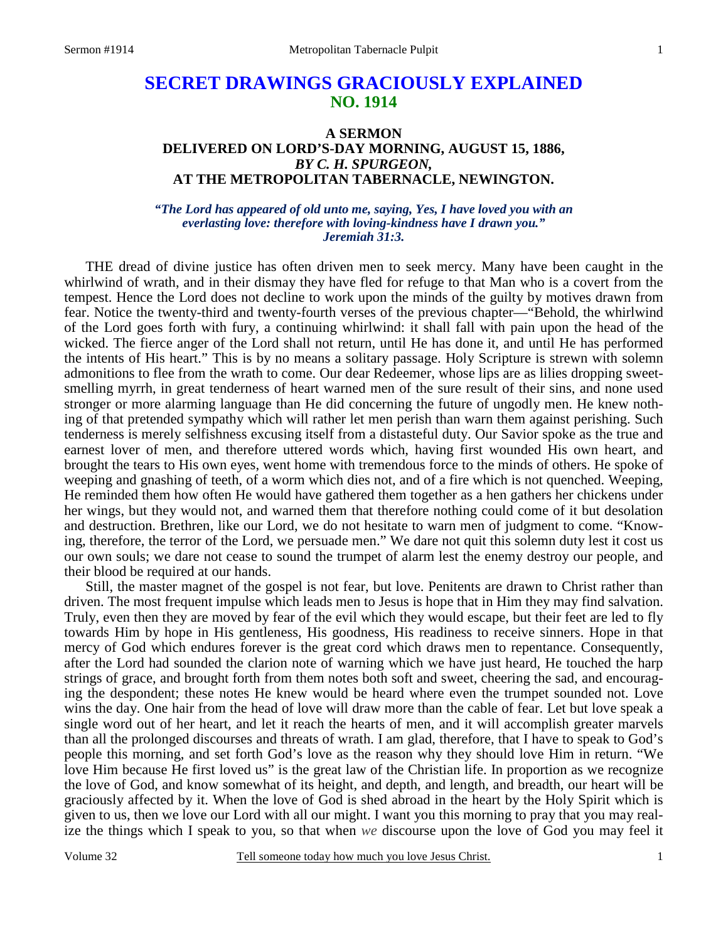# **SECRET DRAWINGS GRACIOUSLY EXPLAINED NO. 1914**

## **A SERMON DELIVERED ON LORD'S-DAY MORNING, AUGUST 15, 1886,**  *BY C. H. SPURGEON,*  **AT THE METROPOLITAN TABERNACLE, NEWINGTON.**

#### *"The Lord has appeared of old unto me, saying, Yes, I have loved you with an everlasting love: therefore with loving-kindness have I drawn you." Jeremiah 31:3.*

THE dread of divine justice has often driven men to seek mercy. Many have been caught in the whirlwind of wrath, and in their dismay they have fled for refuge to that Man who is a covert from the tempest. Hence the Lord does not decline to work upon the minds of the guilty by motives drawn from fear. Notice the twenty-third and twenty-fourth verses of the previous chapter—"Behold, the whirlwind of the Lord goes forth with fury, a continuing whirlwind: it shall fall with pain upon the head of the wicked. The fierce anger of the Lord shall not return, until He has done it, and until He has performed the intents of His heart." This is by no means a solitary passage. Holy Scripture is strewn with solemn admonitions to flee from the wrath to come. Our dear Redeemer, whose lips are as lilies dropping sweetsmelling myrrh, in great tenderness of heart warned men of the sure result of their sins, and none used stronger or more alarming language than He did concerning the future of ungodly men. He knew nothing of that pretended sympathy which will rather let men perish than warn them against perishing. Such tenderness is merely selfishness excusing itself from a distasteful duty. Our Savior spoke as the true and earnest lover of men, and therefore uttered words which, having first wounded His own heart, and brought the tears to His own eyes, went home with tremendous force to the minds of others. He spoke of weeping and gnashing of teeth, of a worm which dies not, and of a fire which is not quenched. Weeping, He reminded them how often He would have gathered them together as a hen gathers her chickens under her wings, but they would not, and warned them that therefore nothing could come of it but desolation and destruction. Brethren, like our Lord, we do not hesitate to warn men of judgment to come. "Knowing, therefore, the terror of the Lord, we persuade men." We dare not quit this solemn duty lest it cost us our own souls; we dare not cease to sound the trumpet of alarm lest the enemy destroy our people, and their blood be required at our hands.

 Still, the master magnet of the gospel is not fear, but love. Penitents are drawn to Christ rather than driven. The most frequent impulse which leads men to Jesus is hope that in Him they may find salvation. Truly, even then they are moved by fear of the evil which they would escape, but their feet are led to fly towards Him by hope in His gentleness, His goodness, His readiness to receive sinners. Hope in that mercy of God which endures forever is the great cord which draws men to repentance. Consequently, after the Lord had sounded the clarion note of warning which we have just heard, He touched the harp strings of grace, and brought forth from them notes both soft and sweet, cheering the sad, and encouraging the despondent; these notes He knew would be heard where even the trumpet sounded not. Love wins the day. One hair from the head of love will draw more than the cable of fear. Let but love speak a single word out of her heart, and let it reach the hearts of men, and it will accomplish greater marvels than all the prolonged discourses and threats of wrath. I am glad, therefore, that I have to speak to God's people this morning, and set forth God's love as the reason why they should love Him in return. "We love Him because He first loved us" is the great law of the Christian life. In proportion as we recognize the love of God, and know somewhat of its height, and depth, and length, and breadth, our heart will be graciously affected by it. When the love of God is shed abroad in the heart by the Holy Spirit which is given to us, then we love our Lord with all our might. I want you this morning to pray that you may realize the things which I speak to you, so that when *we* discourse upon the love of God you may feel it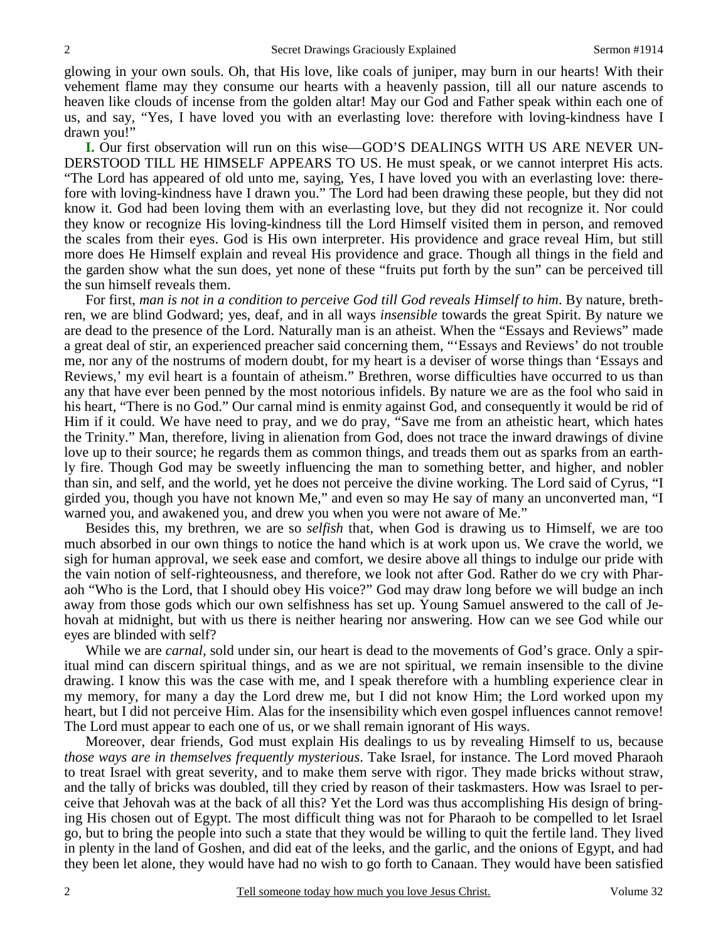glowing in your own souls. Oh, that His love, like coals of juniper, may burn in our hearts! With their vehement flame may they consume our hearts with a heavenly passion, till all our nature ascends to heaven like clouds of incense from the golden altar! May our God and Father speak within each one of us, and say, "Yes, I have loved you with an everlasting love: therefore with loving-kindness have I drawn you!"

**I.** Our first observation will run on this wise—GOD'S DEALINGS WITH US ARE NEVER UN-DERSTOOD TILL HE HIMSELF APPEARS TO US. He must speak, or we cannot interpret His acts. "The Lord has appeared of old unto me, saying, Yes, I have loved you with an everlasting love: therefore with loving-kindness have I drawn you." The Lord had been drawing these people, but they did not know it. God had been loving them with an everlasting love, but they did not recognize it. Nor could they know or recognize His loving-kindness till the Lord Himself visited them in person, and removed the scales from their eyes. God is His own interpreter. His providence and grace reveal Him, but still more does He Himself explain and reveal His providence and grace. Though all things in the field and the garden show what the sun does, yet none of these "fruits put forth by the sun" can be perceived till the sun himself reveals them.

 For first, *man is not in a condition to perceive God till God reveals Himself to him*. By nature, brethren, we are blind Godward; yes, deaf, and in all ways *insensible* towards the great Spirit. By nature we are dead to the presence of the Lord. Naturally man is an atheist. When the "Essays and Reviews" made a great deal of stir, an experienced preacher said concerning them, "'Essays and Reviews' do not trouble me, nor any of the nostrums of modern doubt, for my heart is a deviser of worse things than 'Essays and Reviews,' my evil heart is a fountain of atheism." Brethren, worse difficulties have occurred to us than any that have ever been penned by the most notorious infidels. By nature we are as the fool who said in his heart, "There is no God." Our carnal mind is enmity against God, and consequently it would be rid of Him if it could. We have need to pray, and we do pray, "Save me from an atheistic heart, which hates the Trinity." Man, therefore, living in alienation from God, does not trace the inward drawings of divine love up to their source; he regards them as common things, and treads them out as sparks from an earthly fire. Though God may be sweetly influencing the man to something better, and higher, and nobler than sin, and self, and the world, yet he does not perceive the divine working. The Lord said of Cyrus, "I girded you, though you have not known Me," and even so may He say of many an unconverted man, "I warned you, and awakened you, and drew you when you were not aware of Me."

 Besides this, my brethren, we are so *selfish* that, when God is drawing us to Himself, we are too much absorbed in our own things to notice the hand which is at work upon us. We crave the world, we sigh for human approval, we seek ease and comfort, we desire above all things to indulge our pride with the vain notion of self-righteousness, and therefore, we look not after God. Rather do we cry with Pharaoh "Who is the Lord, that I should obey His voice?" God may draw long before we will budge an inch away from those gods which our own selfishness has set up. Young Samuel answered to the call of Jehovah at midnight, but with us there is neither hearing nor answering. How can we see God while our eyes are blinded with self?

While we are *carnal*, sold under sin, our heart is dead to the movements of God's grace. Only a spiritual mind can discern spiritual things, and as we are not spiritual, we remain insensible to the divine drawing. I know this was the case with me, and I speak therefore with a humbling experience clear in my memory, for many a day the Lord drew me, but I did not know Him; the Lord worked upon my heart, but I did not perceive Him. Alas for the insensibility which even gospel influences cannot remove! The Lord must appear to each one of us, or we shall remain ignorant of His ways.

 Moreover, dear friends, God must explain His dealings to us by revealing Himself to us, because *those ways are in themselves frequently mysterious*. Take Israel, for instance. The Lord moved Pharaoh to treat Israel with great severity, and to make them serve with rigor. They made bricks without straw, and the tally of bricks was doubled, till they cried by reason of their taskmasters. How was Israel to perceive that Jehovah was at the back of all this? Yet the Lord was thus accomplishing His design of bringing His chosen out of Egypt. The most difficult thing was not for Pharaoh to be compelled to let Israel go, but to bring the people into such a state that they would be willing to quit the fertile land. They lived in plenty in the land of Goshen, and did eat of the leeks, and the garlic, and the onions of Egypt, and had they been let alone, they would have had no wish to go forth to Canaan. They would have been satisfied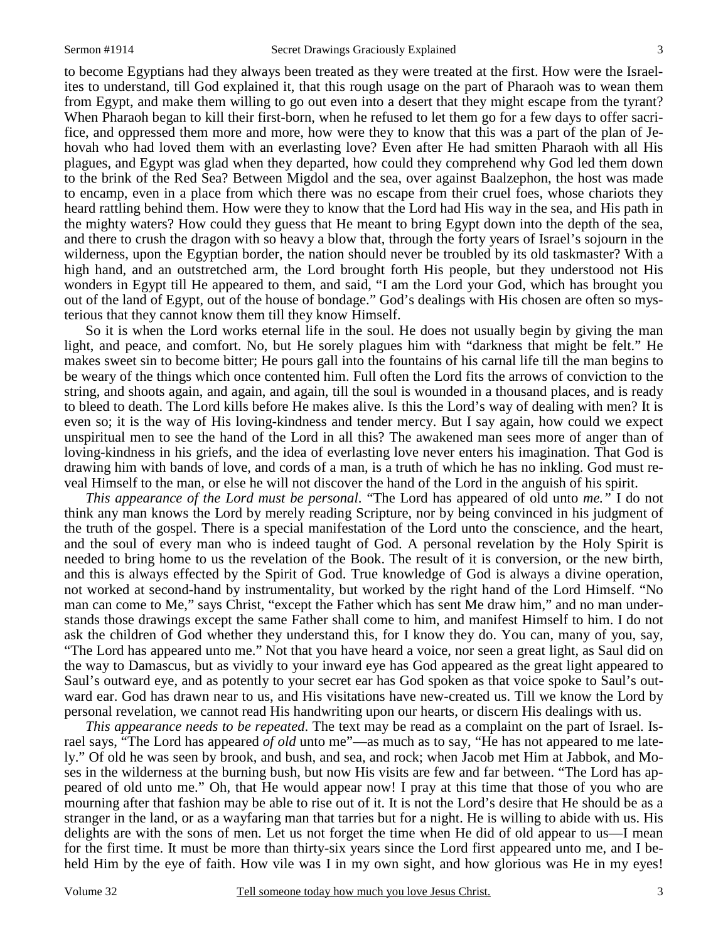to become Egyptians had they always been treated as they were treated at the first. How were the Israelites to understand, till God explained it, that this rough usage on the part of Pharaoh was to wean them from Egypt, and make them willing to go out even into a desert that they might escape from the tyrant? When Pharaoh began to kill their first-born, when he refused to let them go for a few days to offer sacrifice, and oppressed them more and more, how were they to know that this was a part of the plan of Jehovah who had loved them with an everlasting love? Even after He had smitten Pharaoh with all His plagues, and Egypt was glad when they departed, how could they comprehend why God led them down to the brink of the Red Sea? Between Migdol and the sea, over against Baalzephon, the host was made to encamp, even in a place from which there was no escape from their cruel foes, whose chariots they heard rattling behind them. How were they to know that the Lord had His way in the sea, and His path in the mighty waters? How could they guess that He meant to bring Egypt down into the depth of the sea, and there to crush the dragon with so heavy a blow that, through the forty years of Israel's sojourn in the wilderness, upon the Egyptian border, the nation should never be troubled by its old taskmaster? With a high hand, and an outstretched arm, the Lord brought forth His people, but they understood not His wonders in Egypt till He appeared to them, and said, "I am the Lord your God, which has brought you out of the land of Egypt, out of the house of bondage." God's dealings with His chosen are often so mysterious that they cannot know them till they know Himself.

 So it is when the Lord works eternal life in the soul. He does not usually begin by giving the man light, and peace, and comfort. No, but He sorely plagues him with "darkness that might be felt." He makes sweet sin to become bitter; He pours gall into the fountains of his carnal life till the man begins to be weary of the things which once contented him. Full often the Lord fits the arrows of conviction to the string, and shoots again, and again, and again, till the soul is wounded in a thousand places, and is ready to bleed to death. The Lord kills before He makes alive. Is this the Lord's way of dealing with men? It is even so; it is the way of His loving-kindness and tender mercy. But I say again, how could we expect unspiritual men to see the hand of the Lord in all this? The awakened man sees more of anger than of loving-kindness in his griefs, and the idea of everlasting love never enters his imagination. That God is drawing him with bands of love, and cords of a man, is a truth of which he has no inkling. God must reveal Himself to the man, or else he will not discover the hand of the Lord in the anguish of his spirit.

*This appearance of the Lord must be personal*. "The Lord has appeared of old unto *me."* I do not think any man knows the Lord by merely reading Scripture, nor by being convinced in his judgment of the truth of the gospel. There is a special manifestation of the Lord unto the conscience, and the heart, and the soul of every man who is indeed taught of God. A personal revelation by the Holy Spirit is needed to bring home to us the revelation of the Book. The result of it is conversion, or the new birth, and this is always effected by the Spirit of God. True knowledge of God is always a divine operation, not worked at second-hand by instrumentality, but worked by the right hand of the Lord Himself. "No man can come to Me," says Christ, "except the Father which has sent Me draw him," and no man understands those drawings except the same Father shall come to him, and manifest Himself to him. I do not ask the children of God whether they understand this, for I know they do. You can, many of you, say, "The Lord has appeared unto me." Not that you have heard a voice, nor seen a great light, as Saul did on the way to Damascus, but as vividly to your inward eye has God appeared as the great light appeared to Saul's outward eye, and as potently to your secret ear has God spoken as that voice spoke to Saul's outward ear. God has drawn near to us, and His visitations have new-created us. Till we know the Lord by personal revelation, we cannot read His handwriting upon our hearts, or discern His dealings with us.

*This appearance needs to be repeated*. The text may be read as a complaint on the part of Israel. Israel says, "The Lord has appeared *of old* unto me"—as much as to say, "He has not appeared to me lately." Of old he was seen by brook, and bush, and sea, and rock; when Jacob met Him at Jabbok, and Moses in the wilderness at the burning bush, but now His visits are few and far between. "The Lord has appeared of old unto me." Oh, that He would appear now! I pray at this time that those of you who are mourning after that fashion may be able to rise out of it. It is not the Lord's desire that He should be as a stranger in the land, or as a wayfaring man that tarries but for a night. He is willing to abide with us. His delights are with the sons of men. Let us not forget the time when He did of old appear to us—I mean for the first time. It must be more than thirty-six years since the Lord first appeared unto me, and I beheld Him by the eye of faith. How vile was I in my own sight, and how glorious was He in my eyes!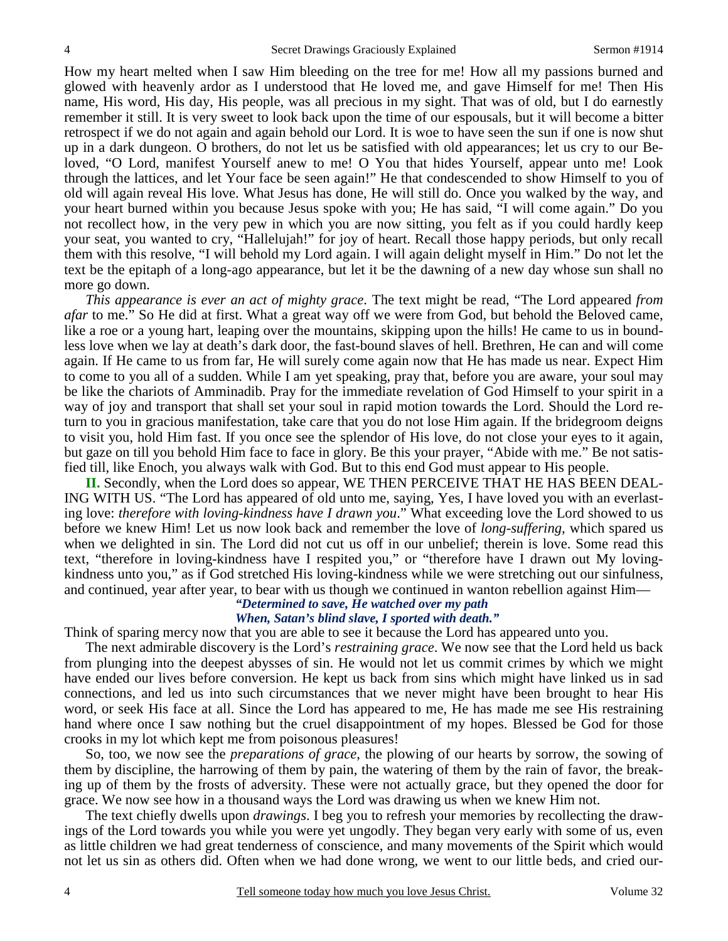How my heart melted when I saw Him bleeding on the tree for me! How all my passions burned and glowed with heavenly ardor as I understood that He loved me, and gave Himself for me! Then His name, His word, His day, His people, was all precious in my sight. That was of old, but I do earnestly remember it still. It is very sweet to look back upon the time of our espousals, but it will become a bitter retrospect if we do not again and again behold our Lord. It is woe to have seen the sun if one is now shut up in a dark dungeon. O brothers, do not let us be satisfied with old appearances; let us cry to our Beloved, "O Lord, manifest Yourself anew to me! O You that hides Yourself, appear unto me! Look through the lattices, and let Your face be seen again!" He that condescended to show Himself to you of old will again reveal His love. What Jesus has done, He will still do. Once you walked by the way, and your heart burned within you because Jesus spoke with you; He has said, "I will come again." Do you not recollect how, in the very pew in which you are now sitting, you felt as if you could hardly keep your seat, you wanted to cry, "Hallelujah!" for joy of heart. Recall those happy periods, but only recall them with this resolve, "I will behold my Lord again. I will again delight myself in Him." Do not let the text be the epitaph of a long-ago appearance, but let it be the dawning of a new day whose sun shall no more go down.

*This appearance is ever an act of mighty grace*. The text might be read, "The Lord appeared *from afar* to me." So He did at first. What a great way off we were from God, but behold the Beloved came, like a roe or a young hart, leaping over the mountains, skipping upon the hills! He came to us in boundless love when we lay at death's dark door, the fast-bound slaves of hell. Brethren, He can and will come again. If He came to us from far, He will surely come again now that He has made us near. Expect Him to come to you all of a sudden. While I am yet speaking, pray that, before you are aware, your soul may be like the chariots of Amminadib. Pray for the immediate revelation of God Himself to your spirit in a way of joy and transport that shall set your soul in rapid motion towards the Lord. Should the Lord return to you in gracious manifestation, take care that you do not lose Him again. If the bridegroom deigns to visit you, hold Him fast. If you once see the splendor of His love, do not close your eyes to it again, but gaze on till you behold Him face to face in glory. Be this your prayer, "Abide with me." Be not satisfied till, like Enoch, you always walk with God. But to this end God must appear to His people.

**II.** Secondly, when the Lord does so appear, WE THEN PERCEIVE THAT HE HAS BEEN DEAL-ING WITH US. "The Lord has appeared of old unto me, saying, Yes, I have loved you with an everlasting love: *therefore with loving-kindness have I drawn you*." What exceeding love the Lord showed to us before we knew Him! Let us now look back and remember the love of *long-suffering,* which spared us when we delighted in sin. The Lord did not cut us off in our unbelief; therein is love. Some read this text, "therefore in loving-kindness have I respited you," or "therefore have I drawn out My lovingkindness unto you," as if God stretched His loving-kindness while we were stretching out our sinfulness, and continued, year after year, to bear with us though we continued in wanton rebellion against Him—

# *"Determined to save, He watched over my path*

# *When, Satan's blind slave, I sported with death."*

Think of sparing mercy now that you are able to see it because the Lord has appeared unto you.

 The next admirable discovery is the Lord's *restraining grace*. We now see that the Lord held us back from plunging into the deepest abysses of sin. He would not let us commit crimes by which we might have ended our lives before conversion. He kept us back from sins which might have linked us in sad connections, and led us into such circumstances that we never might have been brought to hear His word, or seek His face at all. Since the Lord has appeared to me, He has made me see His restraining hand where once I saw nothing but the cruel disappointment of my hopes. Blessed be God for those crooks in my lot which kept me from poisonous pleasures!

 So, too, we now see the *preparations of grace*, the plowing of our hearts by sorrow, the sowing of them by discipline, the harrowing of them by pain, the watering of them by the rain of favor, the breaking up of them by the frosts of adversity. These were not actually grace, but they opened the door for grace. We now see how in a thousand ways the Lord was drawing us when we knew Him not.

 The text chiefly dwells upon *drawings*. I beg you to refresh your memories by recollecting the drawings of the Lord towards you while you were yet ungodly. They began very early with some of us, even as little children we had great tenderness of conscience, and many movements of the Spirit which would not let us sin as others did. Often when we had done wrong, we went to our little beds, and cried our-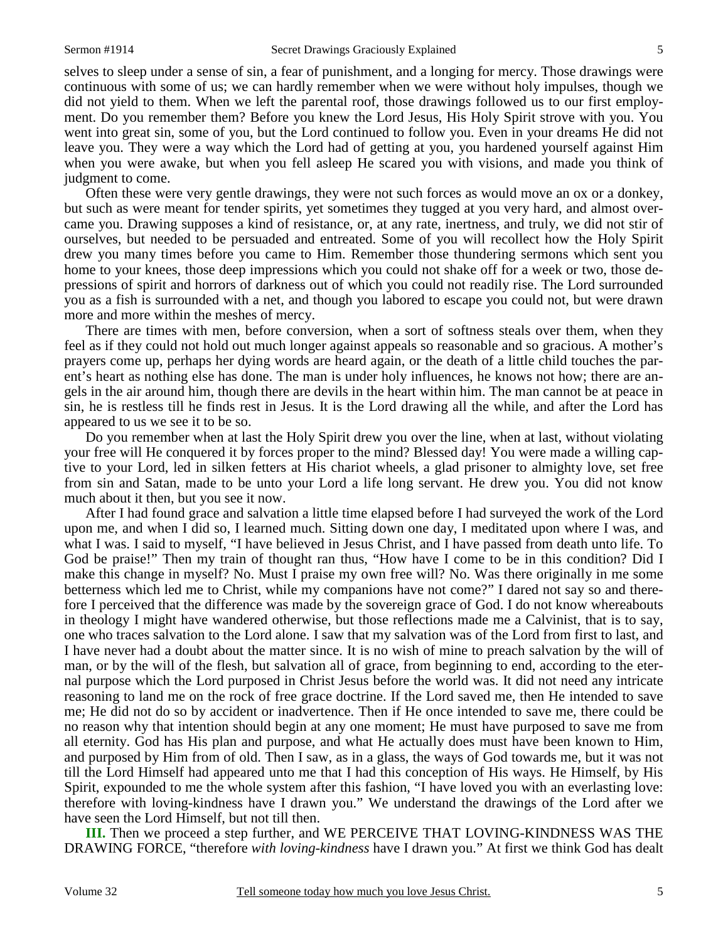selves to sleep under a sense of sin, a fear of punishment, and a longing for mercy. Those drawings were continuous with some of us; we can hardly remember when we were without holy impulses, though we did not yield to them. When we left the parental roof, those drawings followed us to our first employment. Do you remember them? Before you knew the Lord Jesus, His Holy Spirit strove with you. You went into great sin, some of you, but the Lord continued to follow you. Even in your dreams He did not leave you. They were a way which the Lord had of getting at you, you hardened yourself against Him when you were awake, but when you fell asleep He scared you with visions, and made you think of judgment to come.

 Often these were very gentle drawings, they were not such forces as would move an ox or a donkey, but such as were meant for tender spirits, yet sometimes they tugged at you very hard, and almost overcame you. Drawing supposes a kind of resistance, or, at any rate, inertness, and truly, we did not stir of ourselves, but needed to be persuaded and entreated. Some of you will recollect how the Holy Spirit drew you many times before you came to Him. Remember those thundering sermons which sent you home to your knees, those deep impressions which you could not shake off for a week or two, those depressions of spirit and horrors of darkness out of which you could not readily rise. The Lord surrounded you as a fish is surrounded with a net, and though you labored to escape you could not, but were drawn more and more within the meshes of mercy.

 There are times with men, before conversion, when a sort of softness steals over them, when they feel as if they could not hold out much longer against appeals so reasonable and so gracious. A mother's prayers come up, perhaps her dying words are heard again, or the death of a little child touches the parent's heart as nothing else has done. The man is under holy influences, he knows not how; there are angels in the air around him, though there are devils in the heart within him. The man cannot be at peace in sin, he is restless till he finds rest in Jesus. It is the Lord drawing all the while, and after the Lord has appeared to us we see it to be so.

 Do you remember when at last the Holy Spirit drew you over the line, when at last, without violating your free will He conquered it by forces proper to the mind? Blessed day! You were made a willing captive to your Lord, led in silken fetters at His chariot wheels, a glad prisoner to almighty love, set free from sin and Satan, made to be unto your Lord a life long servant. He drew you. You did not know much about it then, but you see it now.

 After I had found grace and salvation a little time elapsed before I had surveyed the work of the Lord upon me, and when I did so, I learned much. Sitting down one day, I meditated upon where I was, and what I was. I said to myself, "I have believed in Jesus Christ, and I have passed from death unto life. To God be praise!" Then my train of thought ran thus, "How have I come to be in this condition? Did I make this change in myself? No. Must I praise my own free will? No. Was there originally in me some betterness which led me to Christ, while my companions have not come?" I dared not say so and therefore I perceived that the difference was made by the sovereign grace of God. I do not know whereabouts in theology I might have wandered otherwise, but those reflections made me a Calvinist, that is to say, one who traces salvation to the Lord alone. I saw that my salvation was of the Lord from first to last, and I have never had a doubt about the matter since. It is no wish of mine to preach salvation by the will of man, or by the will of the flesh, but salvation all of grace, from beginning to end, according to the eternal purpose which the Lord purposed in Christ Jesus before the world was. It did not need any intricate reasoning to land me on the rock of free grace doctrine. If the Lord saved me, then He intended to save me; He did not do so by accident or inadvertence. Then if He once intended to save me, there could be no reason why that intention should begin at any one moment; He must have purposed to save me from all eternity. God has His plan and purpose, and what He actually does must have been known to Him, and purposed by Him from of old. Then I saw, as in a glass, the ways of God towards me, but it was not till the Lord Himself had appeared unto me that I had this conception of His ways. He Himself, by His Spirit, expounded to me the whole system after this fashion, "I have loved you with an everlasting love: therefore with loving-kindness have I drawn you." We understand the drawings of the Lord after we have seen the Lord Himself, but not till then.

**III.** Then we proceed a step further, and WE PERCEIVE THAT LOVING-KINDNESS WAS THE DRAWING FORCE, "therefore *with loving-kindness* have I drawn you." At first we think God has dealt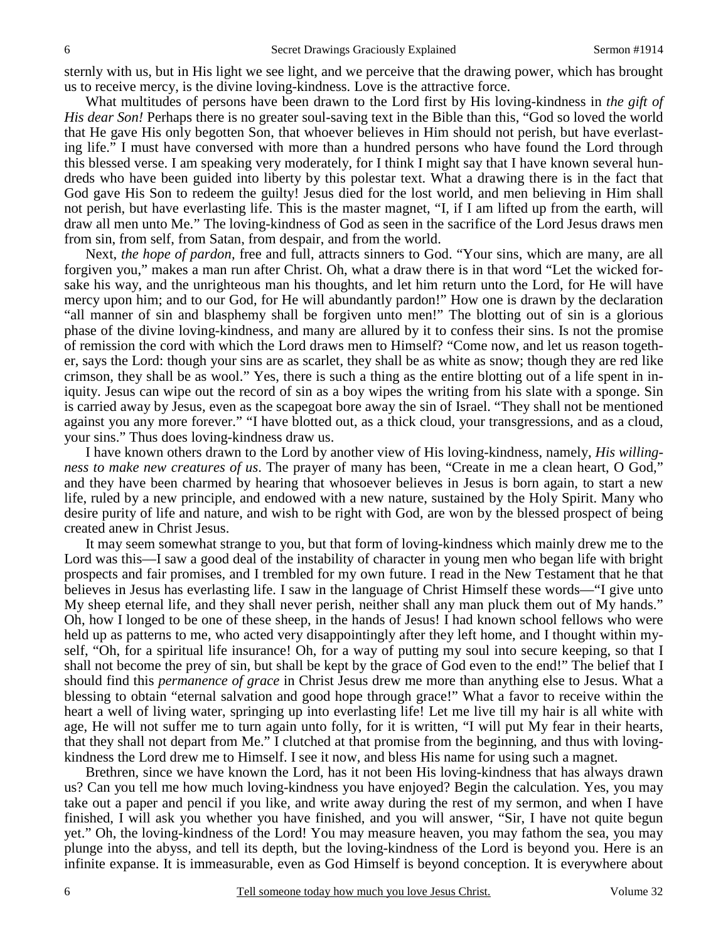sternly with us, but in His light we see light, and we perceive that the drawing power, which has brought us to receive mercy, is the divine loving-kindness. Love is the attractive force.

 What multitudes of persons have been drawn to the Lord first by His loving-kindness in *the gift of His dear Son!* Perhaps there is no greater soul-saving text in the Bible than this, "God so loved the world that He gave His only begotten Son, that whoever believes in Him should not perish, but have everlasting life." I must have conversed with more than a hundred persons who have found the Lord through this blessed verse. I am speaking very moderately, for I think I might say that I have known several hundreds who have been guided into liberty by this polestar text. What a drawing there is in the fact that God gave His Son to redeem the guilty! Jesus died for the lost world, and men believing in Him shall not perish, but have everlasting life. This is the master magnet, "I, if I am lifted up from the earth, will draw all men unto Me." The loving-kindness of God as seen in the sacrifice of the Lord Jesus draws men from sin, from self, from Satan, from despair, and from the world.

 Next, *the hope of pardon,* free and full, attracts sinners to God. "Your sins, which are many, are all forgiven you," makes a man run after Christ. Oh, what a draw there is in that word "Let the wicked forsake his way, and the unrighteous man his thoughts, and let him return unto the Lord, for He will have mercy upon him; and to our God, for He will abundantly pardon!" How one is drawn by the declaration "all manner of sin and blasphemy shall be forgiven unto men!" The blotting out of sin is a glorious phase of the divine loving-kindness, and many are allured by it to confess their sins. Is not the promise of remission the cord with which the Lord draws men to Himself? "Come now, and let us reason together, says the Lord: though your sins are as scarlet, they shall be as white as snow; though they are red like crimson, they shall be as wool." Yes, there is such a thing as the entire blotting out of a life spent in iniquity. Jesus can wipe out the record of sin as a boy wipes the writing from his slate with a sponge. Sin is carried away by Jesus, even as the scapegoat bore away the sin of Israel. "They shall not be mentioned against you any more forever." "I have blotted out, as a thick cloud, your transgressions, and as a cloud, your sins." Thus does loving-kindness draw us.

 I have known others drawn to the Lord by another view of His loving-kindness, namely, *His willingness to make new creatures of us*. The prayer of many has been, "Create in me a clean heart, O God," and they have been charmed by hearing that whosoever believes in Jesus is born again, to start a new life, ruled by a new principle, and endowed with a new nature, sustained by the Holy Spirit. Many who desire purity of life and nature, and wish to be right with God, are won by the blessed prospect of being created anew in Christ Jesus.

 It may seem somewhat strange to you, but that form of loving-kindness which mainly drew me to the Lord was this—I saw a good deal of the instability of character in young men who began life with bright prospects and fair promises, and I trembled for my own future. I read in the New Testament that he that believes in Jesus has everlasting life. I saw in the language of Christ Himself these words—"I give unto My sheep eternal life, and they shall never perish, neither shall any man pluck them out of My hands." Oh, how I longed to be one of these sheep, in the hands of Jesus! I had known school fellows who were held up as patterns to me, who acted very disappointingly after they left home, and I thought within myself, "Oh, for a spiritual life insurance! Oh, for a way of putting my soul into secure keeping, so that I shall not become the prey of sin, but shall be kept by the grace of God even to the end!" The belief that I should find this *permanence of grace* in Christ Jesus drew me more than anything else to Jesus. What a blessing to obtain "eternal salvation and good hope through grace!" What a favor to receive within the heart a well of living water, springing up into everlasting life! Let me live till my hair is all white with age, He will not suffer me to turn again unto folly, for it is written, "I will put My fear in their hearts, that they shall not depart from Me." I clutched at that promise from the beginning, and thus with lovingkindness the Lord drew me to Himself. I see it now, and bless His name for using such a magnet.

 Brethren, since we have known the Lord, has it not been His loving-kindness that has always drawn us? Can you tell me how much loving-kindness you have enjoyed? Begin the calculation. Yes, you may take out a paper and pencil if you like, and write away during the rest of my sermon, and when I have finished, I will ask you whether you have finished, and you will answer, "Sir, I have not quite begun yet." Oh, the loving-kindness of the Lord! You may measure heaven, you may fathom the sea, you may plunge into the abyss, and tell its depth, but the loving-kindness of the Lord is beyond you. Here is an infinite expanse. It is immeasurable, even as God Himself is beyond conception. It is everywhere about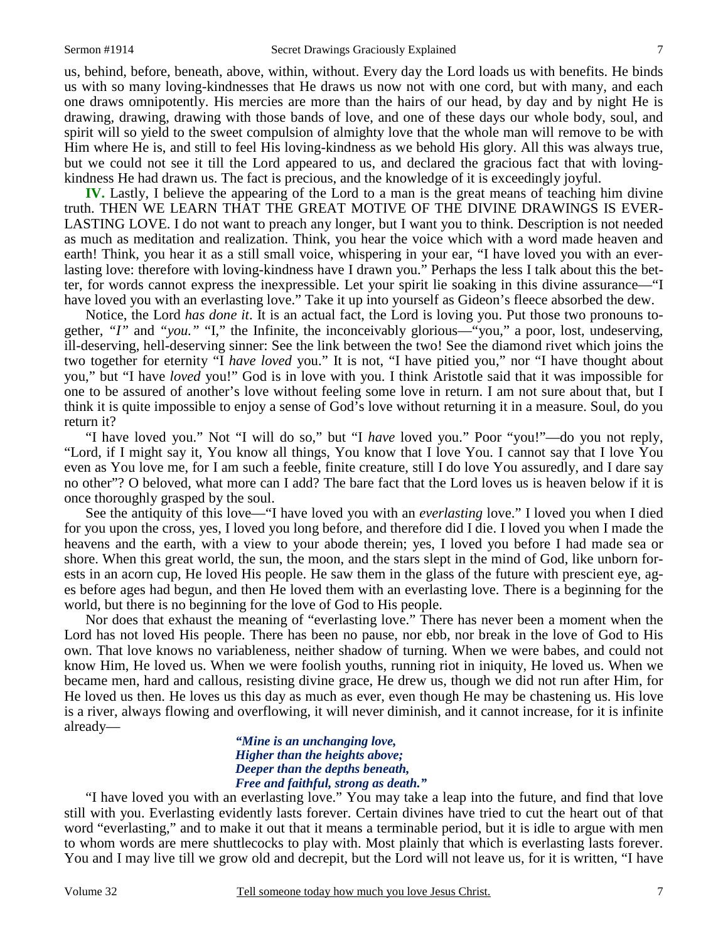us, behind, before, beneath, above, within, without. Every day the Lord loads us with benefits. He binds us with so many loving-kindnesses that He draws us now not with one cord, but with many, and each one draws omnipotently. His mercies are more than the hairs of our head, by day and by night He is drawing, drawing, drawing with those bands of love, and one of these days our whole body, soul, and spirit will so yield to the sweet compulsion of almighty love that the whole man will remove to be with Him where He is, and still to feel His loving-kindness as we behold His glory. All this was always true, but we could not see it till the Lord appeared to us, and declared the gracious fact that with lovingkindness He had drawn us. The fact is precious, and the knowledge of it is exceedingly joyful.

**IV.** Lastly, I believe the appearing of the Lord to a man is the great means of teaching him divine truth. THEN WE LEARN THAT THE GREAT MOTIVE OF THE DIVINE DRAWINGS IS EVER-LASTING LOVE. I do not want to preach any longer, but I want you to think. Description is not needed as much as meditation and realization. Think, you hear the voice which with a word made heaven and earth! Think, you hear it as a still small voice, whispering in your ear, "I have loved you with an everlasting love: therefore with loving-kindness have I drawn you." Perhaps the less I talk about this the better, for words cannot express the inexpressible. Let your spirit lie soaking in this divine assurance—"I have loved you with an everlasting love." Take it up into yourself as Gideon's fleece absorbed the dew.

 Notice, the Lord *has done it*. It is an actual fact, the Lord is loving you. Put those two pronouns together, *"I"* and *"you."* "I," the Infinite, the inconceivably glorious—"you," a poor, lost, undeserving, ill-deserving, hell-deserving sinner: See the link between the two! See the diamond rivet which joins the two together for eternity "I *have loved* you." It is not, "I have pitied you," nor "I have thought about you," but "I have *loved* you!" God is in love with you. I think Aristotle said that it was impossible for one to be assured of another's love without feeling some love in return. I am not sure about that, but I think it is quite impossible to enjoy a sense of God's love without returning it in a measure. Soul, do you return it?

 "I have loved you." Not "I will do so," but "I *have* loved you." Poor "you!"—do you not reply, "Lord, if I might say it, You know all things, You know that I love You. I cannot say that I love You even as You love me, for I am such a feeble, finite creature, still I do love You assuredly, and I dare say no other"? O beloved, what more can I add? The bare fact that the Lord loves us is heaven below if it is once thoroughly grasped by the soul.

 See the antiquity of this love—"I have loved you with an *everlasting* love." I loved you when I died for you upon the cross, yes, I loved you long before, and therefore did I die. I loved you when I made the heavens and the earth, with a view to your abode therein; yes, I loved you before I had made sea or shore. When this great world, the sun, the moon, and the stars slept in the mind of God, like unborn forests in an acorn cup, He loved His people. He saw them in the glass of the future with prescient eye, ages before ages had begun, and then He loved them with an everlasting love. There is a beginning for the world, but there is no beginning for the love of God to His people.

 Nor does that exhaust the meaning of "everlasting love." There has never been a moment when the Lord has not loved His people. There has been no pause, nor ebb, nor break in the love of God to His own. That love knows no variableness, neither shadow of turning. When we were babes, and could not know Him, He loved us. When we were foolish youths, running riot in iniquity, He loved us. When we became men, hard and callous, resisting divine grace, He drew us, though we did not run after Him, for He loved us then. He loves us this day as much as ever, even though He may be chastening us. His love is a river, always flowing and overflowing, it will never diminish, and it cannot increase, for it is infinite already—

> *"Mine is an unchanging love, Higher than the heights above; Deeper than the depths beneath, Free and faithful, strong as death."*

"I have loved you with an everlasting love." You may take a leap into the future, and find that love still with you. Everlasting evidently lasts forever. Certain divines have tried to cut the heart out of that word "everlasting," and to make it out that it means a terminable period, but it is idle to argue with men to whom words are mere shuttlecocks to play with. Most plainly that which is everlasting lasts forever. You and I may live till we grow old and decrepit, but the Lord will not leave us, for it is written, "I have